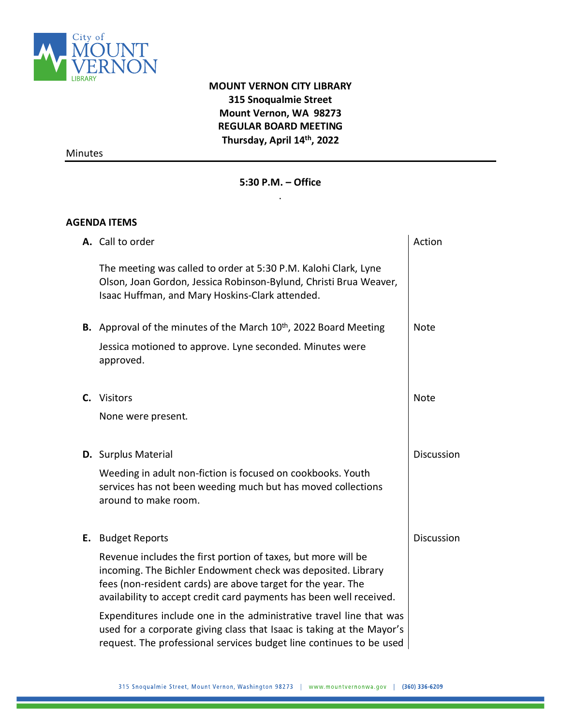

## **MOUNT VERNON CITY LIBRARY 315 Snoqualmie Street Mount Vernon, WA 98273 REGULAR BOARD MEETING Thursday, April 14 th, 2022**

Minutes

## **5:30 P.M. – Office**  .

## **AGENDA ITEMS**

|    | A. Call to order                                                                                                                                                                                                                                                     | Action      |  |
|----|----------------------------------------------------------------------------------------------------------------------------------------------------------------------------------------------------------------------------------------------------------------------|-------------|--|
|    | The meeting was called to order at 5:30 P.M. Kalohi Clark, Lyne<br>Olson, Joan Gordon, Jessica Robinson-Bylund, Christi Brua Weaver,<br>Isaac Huffman, and Mary Hoskins-Clark attended.                                                                              |             |  |
|    | <b>B.</b> Approval of the minutes of the March 10 <sup>th</sup> , 2022 Board Meeting                                                                                                                                                                                 | <b>Note</b> |  |
|    | Jessica motioned to approve. Lyne seconded. Minutes were<br>approved.                                                                                                                                                                                                |             |  |
|    | C. Visitors                                                                                                                                                                                                                                                          | <b>Note</b> |  |
|    | None were present.                                                                                                                                                                                                                                                   |             |  |
|    | <b>D.</b> Surplus Material                                                                                                                                                                                                                                           | Discussion  |  |
|    | Weeding in adult non-fiction is focused on cookbooks. Youth<br>services has not been weeding much but has moved collections<br>around to make room.                                                                                                                  |             |  |
| Ε. | <b>Budget Reports</b>                                                                                                                                                                                                                                                | Discussion  |  |
|    | Revenue includes the first portion of taxes, but more will be<br>incoming. The Bichler Endowment check was deposited. Library<br>fees (non-resident cards) are above target for the year. The<br>availability to accept credit card payments has been well received. |             |  |
|    | Expenditures include one in the administrative travel line that was<br>used for a corporate giving class that Isaac is taking at the Mayor's<br>request. The professional services budget line continues to be used                                                  |             |  |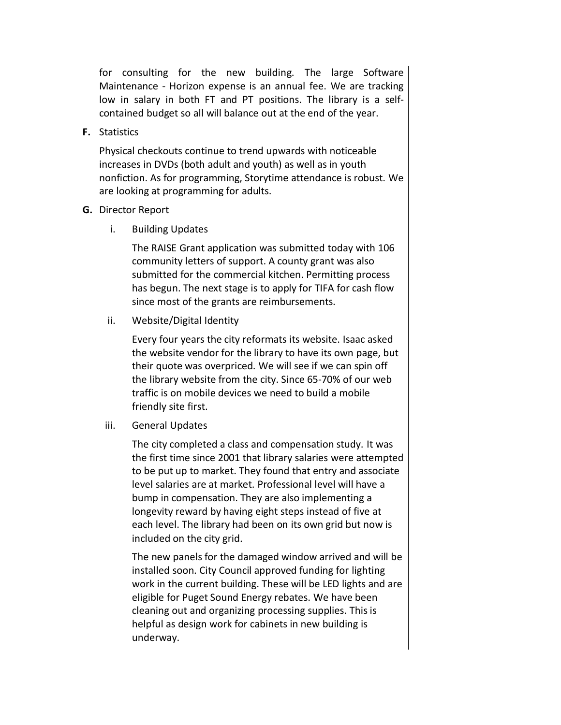for consulting for the new building. The large Software Maintenance - Horizon expense is an annual fee. We are tracking low in salary in both FT and PT positions. The library is a selfcontained budget so all will balance out at the end of the year.

**F.** Statistics

Physical checkouts continue to trend upwards with noticeable increases in DVDs (both adult and youth) as well as in youth nonfiction. As for programming, Storytime attendance is robust. We are looking at programming for adults.

## **G.** Director Report

i. Building Updates

The RAISE Grant application was submitted today with 106 community letters of support. A county grant was also submitted for the commercial kitchen. Permitting process has begun. The next stage is to apply for TIFA for cash flow since most of the grants are reimbursements.

ii. Website/Digital Identity

Every four years the city reformats its website. Isaac asked the website vendor for the library to have its own page, but their quote was overpriced. We will see if we can spin off the library website from the city. Since 65-70% of our web traffic is on mobile devices we need to build a mobile friendly site first.

iii. General Updates

The city completed a class and compensation study. It was the first time since 2001 that library salaries were attempted to be put up to market. They found that entry and associate level salaries are at market. Professional level will have a bump in compensation. They are also implementing a longevity reward by having eight steps instead of five at each level. The library had been on its own grid but now is included on the city grid.

The new panels for the damaged window arrived and will be installed soon. City Council approved funding for lighting work in the current building. These will be LED lights and are eligible for Puget Sound Energy rebates. We have been cleaning out and organizing processing supplies. This is helpful as design work for cabinets in new building is underway.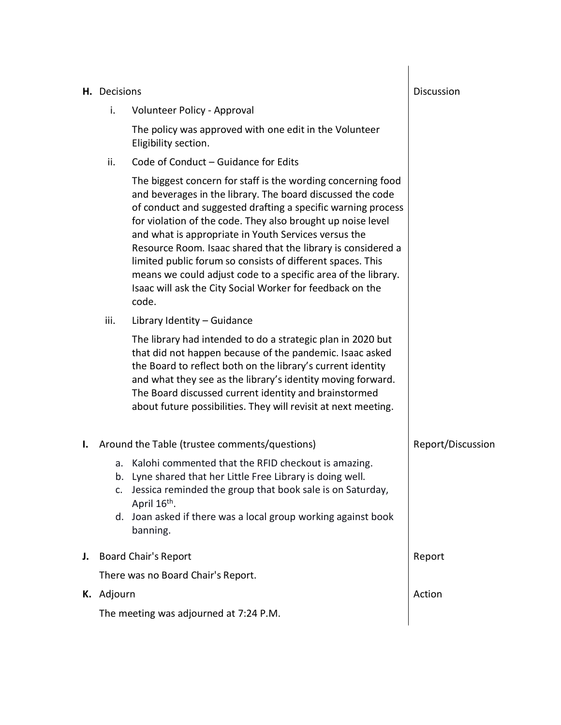|    | H. Decisions                                  |                                                                                                                                                                                                                                                                                                                                                                                                                                                                                                                                                                                        | Discussion        |
|----|-----------------------------------------------|----------------------------------------------------------------------------------------------------------------------------------------------------------------------------------------------------------------------------------------------------------------------------------------------------------------------------------------------------------------------------------------------------------------------------------------------------------------------------------------------------------------------------------------------------------------------------------------|-------------------|
|    | i.                                            | Volunteer Policy - Approval                                                                                                                                                                                                                                                                                                                                                                                                                                                                                                                                                            |                   |
|    |                                               | The policy was approved with one edit in the Volunteer<br>Eligibility section.                                                                                                                                                                                                                                                                                                                                                                                                                                                                                                         |                   |
|    | ii.                                           | Code of Conduct - Guidance for Edits                                                                                                                                                                                                                                                                                                                                                                                                                                                                                                                                                   |                   |
|    |                                               | The biggest concern for staff is the wording concerning food<br>and beverages in the library. The board discussed the code<br>of conduct and suggested drafting a specific warning process<br>for violation of the code. They also brought up noise level<br>and what is appropriate in Youth Services versus the<br>Resource Room. Isaac shared that the library is considered a<br>limited public forum so consists of different spaces. This<br>means we could adjust code to a specific area of the library.<br>Isaac will ask the City Social Worker for feedback on the<br>code. |                   |
|    | iii.                                          | Library Identity - Guidance                                                                                                                                                                                                                                                                                                                                                                                                                                                                                                                                                            |                   |
|    |                                               | The library had intended to do a strategic plan in 2020 but<br>that did not happen because of the pandemic. Isaac asked<br>the Board to reflect both on the library's current identity<br>and what they see as the library's identity moving forward.<br>The Board discussed current identity and brainstormed<br>about future possibilities. They will revisit at next meeting.                                                                                                                                                                                                       |                   |
| Ι. | Around the Table (trustee comments/questions) |                                                                                                                                                                                                                                                                                                                                                                                                                                                                                                                                                                                        | Report/Discussion |
|    | a.<br>b.<br>c.                                | Kalohi commented that the RFID checkout is amazing.<br>Lyne shared that her Little Free Library is doing well.<br>Jessica reminded the group that book sale is on Saturday,<br>April 16th.<br>d. Joan asked if there was a local group working against book<br>banning.                                                                                                                                                                                                                                                                                                                |                   |
| J. | <b>Board Chair's Report</b>                   |                                                                                                                                                                                                                                                                                                                                                                                                                                                                                                                                                                                        | Report            |
|    |                                               | There was no Board Chair's Report.                                                                                                                                                                                                                                                                                                                                                                                                                                                                                                                                                     |                   |
|    | K. Adjourn                                    |                                                                                                                                                                                                                                                                                                                                                                                                                                                                                                                                                                                        | Action            |
|    |                                               | The meeting was adjourned at 7:24 P.M.                                                                                                                                                                                                                                                                                                                                                                                                                                                                                                                                                 |                   |